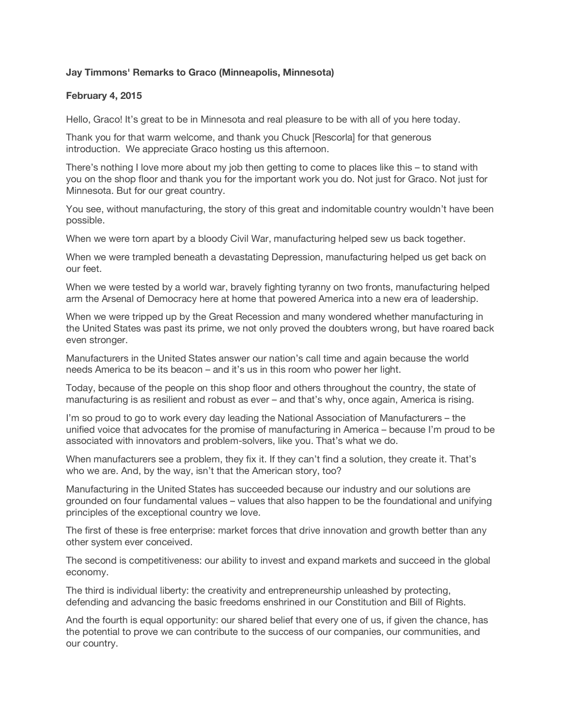## **Jay Timmons' Remarks to Graco (Minneapolis, Minnesota)**

## **February 4, 2015**

Hello, Graco! It's great to be in Minnesota and real pleasure to be with all of you here today.

Thank you for that warm welcome, and thank you Chuck [Rescorla] for that generous introduction. We appreciate Graco hosting us this afternoon.

There's nothing I love more about my job then getting to come to places like this – to stand with you on the shop floor and thank you for the important work you do. Not just for Graco. Not just for Minnesota. But for our great country.

You see, without manufacturing, the story of this great and indomitable country wouldn't have been possible.

When we were torn apart by a bloody Civil War, manufacturing helped sew us back together.

When we were trampled beneath a devastating Depression, manufacturing helped us get back on our feet.

When we were tested by a world war, bravely fighting tyranny on two fronts, manufacturing helped arm the Arsenal of Democracy here at home that powered America into a new era of leadership.

When we were tripped up by the Great Recession and many wondered whether manufacturing in the United States was past its prime, we not only proved the doubters wrong, but have roared back even stronger.

Manufacturers in the United States answer our nation's call time and again because the world needs America to be its beacon – and it's us in this room who power her light.

Today, because of the people on this shop floor and others throughout the country, the state of manufacturing is as resilient and robust as ever – and that's why, once again, America is rising.

I'm so proud to go to work every day leading the National Association of Manufacturers – the unified voice that advocates for the promise of manufacturing in America – because I'm proud to be associated with innovators and problem-solvers, like you. That's what we do.

When manufacturers see a problem, they fix it. If they can't find a solution, they create it. That's who we are. And, by the way, isn't that the American story, too?

Manufacturing in the United States has succeeded because our industry and our solutions are grounded on four fundamental values – values that also happen to be the foundational and unifying principles of the exceptional country we love.

The first of these is free enterprise: market forces that drive innovation and growth better than any other system ever conceived.

The second is competitiveness: our ability to invest and expand markets and succeed in the global economy.

The third is individual liberty: the creativity and entrepreneurship unleashed by protecting, defending and advancing the basic freedoms enshrined in our Constitution and Bill of Rights.

And the fourth is equal opportunity: our shared belief that every one of us, if given the chance, has the potential to prove we can contribute to the success of our companies, our communities, and our country.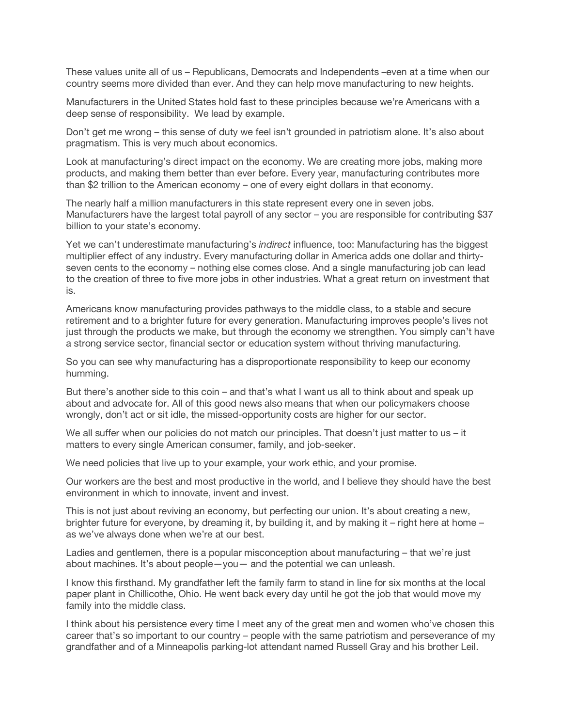These values unite all of us – Republicans, Democrats and Independents –even at a time when our country seems more divided than ever. And they can help move manufacturing to new heights.

Manufacturers in the United States hold fast to these principles because we're Americans with a deep sense of responsibility. We lead by example.

Don't get me wrong – this sense of duty we feel isn't grounded in patriotism alone. It's also about pragmatism. This is very much about economics.

Look at manufacturing's direct impact on the economy. We are creating more jobs, making more products, and making them better than ever before. Every year, manufacturing contributes more than \$2 trillion to the American economy – one of every eight dollars in that economy.

The nearly half a million manufacturers in this state represent every one in seven jobs. Manufacturers have the largest total payroll of any sector – you are responsible for contributing \$37 billion to your state's economy.

Yet we can't underestimate manufacturing's *indirect* influence, too: Manufacturing has the biggest multiplier effect of any industry. Every manufacturing dollar in America adds one dollar and thirtyseven cents to the economy – nothing else comes close. And a single manufacturing job can lead to the creation of three to five more jobs in other industries. What a great return on investment that is.

Americans know manufacturing provides pathways to the middle class, to a stable and secure retirement and to a brighter future for every generation. Manufacturing improves people's lives not just through the products we make, but through the economy we strengthen. You simply can't have a strong service sector, financial sector or education system without thriving manufacturing.

So you can see why manufacturing has a disproportionate responsibility to keep our economy humming.

But there's another side to this coin – and that's what I want us all to think about and speak up about and advocate for. All of this good news also means that when our policymakers choose wrongly, don't act or sit idle, the missed-opportunity costs are higher for our sector.

We all suffer when our policies do not match our principles. That doesn't just matter to us – it matters to every single American consumer, family, and job-seeker.

We need policies that live up to your example, your work ethic, and your promise.

Our workers are the best and most productive in the world, and I believe they should have the best environment in which to innovate, invent and invest.

This is not just about reviving an economy, but perfecting our union. It's about creating a new, brighter future for everyone, by dreaming it, by building it, and by making it – right here at home – as we've always done when we're at our best.

Ladies and gentlemen, there is a popular misconception about manufacturing – that we're just about machines. It's about people—you— and the potential we can unleash.

I know this firsthand. My grandfather left the family farm to stand in line for six months at the local paper plant in Chillicothe, Ohio. He went back every day until he got the job that would move my family into the middle class.

I think about his persistence every time I meet any of the great men and women who've chosen this career that's so important to our country – people with the same patriotism and perseverance of my grandfather and of a Minneapolis parking-lot attendant named Russell Gray and his brother Leil.